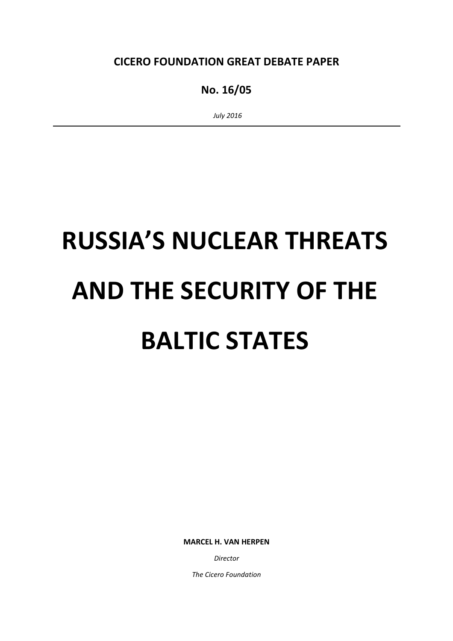CICERO FOUNDATION GREAT DEBATE PAPER

# No. 16/05

July 2016

# RUSSIA'S NUCLEAR THREATS AND THE SECURITY OF THE BALTIC STATES

MARCEL H. VAN HERPEN

Director

The Cicero Foundation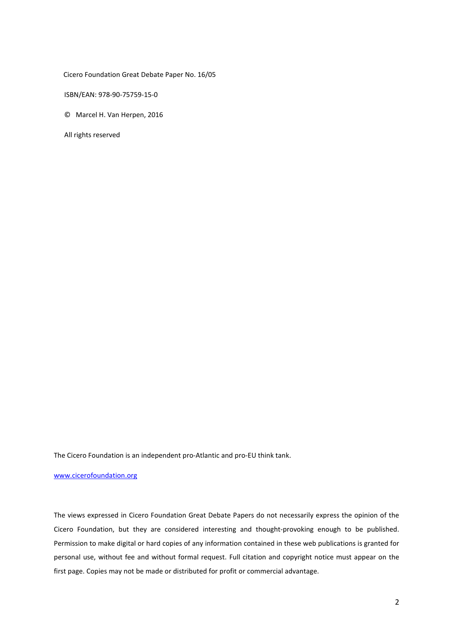Cicero Foundation Great Debate Paper No. 16/05

ISBN/EAN: 978-90-75759-15-0

© Marcel H. Van Herpen, 2016

All rights reserved

The Cicero Foundation is an independent pro-Atlantic and pro-EU think tank.

#### www.cicerofoundation.org

The views expressed in Cicero Foundation Great Debate Papers do not necessarily express the opinion of the Cicero Foundation, but they are considered interesting and thought-provoking enough to be published. Permission to make digital or hard copies of any information contained in these web publications is granted for personal use, without fee and without formal request. Full citation and copyright notice must appear on the first page. Copies may not be made or distributed for profit or commercial advantage.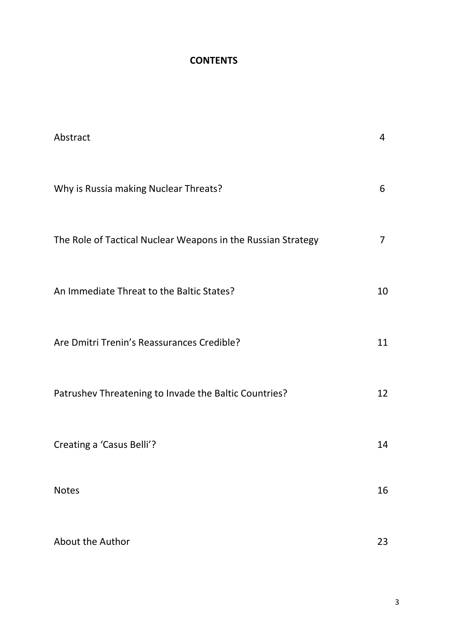# **CONTENTS**

| Abstract                                                     | 4              |
|--------------------------------------------------------------|----------------|
| Why is Russia making Nuclear Threats?                        | 6              |
| The Role of Tactical Nuclear Weapons in the Russian Strategy | $\overline{7}$ |
| An Immediate Threat to the Baltic States?                    | 10             |
| Are Dmitri Trenin's Reassurances Credible?                   | 11             |
| Patrushev Threatening to Invade the Baltic Countries?        | 12             |
| Creating a 'Casus Belli'?                                    | 14             |
| <b>Notes</b>                                                 | 16             |
| About the Author                                             | 23             |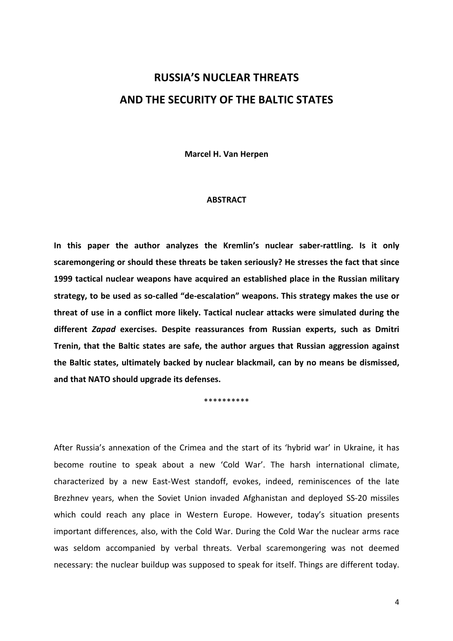# RUSSIA'S NUCLEAR THREATS AND THE SECURITY OF THE BALTIC STATES

Marcel H. Van Herpen

#### **ABSTRACT**

In this paper the author analyzes the Kremlin's nuclear saber-rattling. Is it only scaremongering or should these threats be taken seriously? He stresses the fact that since 1999 tactical nuclear weapons have acquired an established place in the Russian military strategy, to be used as so-called "de-escalation" weapons. This strategy makes the use or threat of use in a conflict more likely. Tactical nuclear attacks were simulated during the different Zapad exercises. Despite reassurances from Russian experts, such as Dmitri Trenin, that the Baltic states are safe, the author argues that Russian aggression against the Baltic states, ultimately backed by nuclear blackmail, can by no means be dismissed, and that NATO should upgrade its defenses.

\*\*\*\*\*\*\*\*\*\*

After Russia's annexation of the Crimea and the start of its 'hybrid war' in Ukraine, it has become routine to speak about a new 'Cold War'. The harsh international climate, characterized by a new East-West standoff, evokes, indeed, reminiscences of the late Brezhnev years, when the Soviet Union invaded Afghanistan and deployed SS-20 missiles which could reach any place in Western Europe. However, today's situation presents important differences, also, with the Cold War. During the Cold War the nuclear arms race was seldom accompanied by verbal threats. Verbal scaremongering was not deemed necessary: the nuclear buildup was supposed to speak for itself. Things are different today.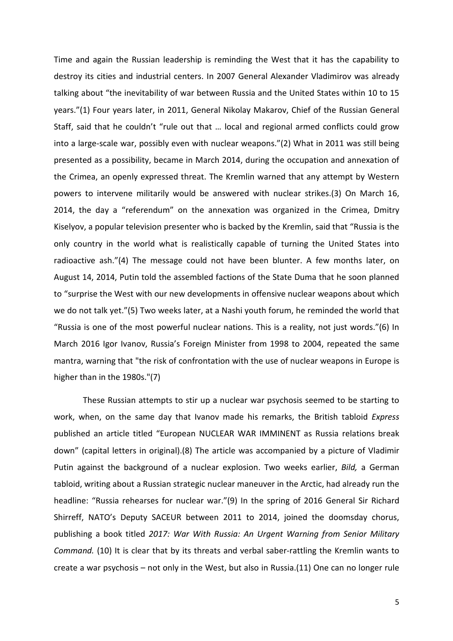Time and again the Russian leadership is reminding the West that it has the capability to destroy its cities and industrial centers. In 2007 General Alexander Vladimirov was already talking about "the inevitability of war between Russia and the United States within 10 to 15 years."(1) Four years later, in 2011, General Nikolay Makarov, Chief of the Russian General Staff, said that he couldn't "rule out that … local and regional armed conflicts could grow into a large-scale war, possibly even with nuclear weapons."(2) What in 2011 was still being presented as a possibility, became in March 2014, during the occupation and annexation of the Crimea, an openly expressed threat. The Kremlin warned that any attempt by Western powers to intervene militarily would be answered with nuclear strikes.(3) On March 16, 2014, the day a "referendum" on the annexation was organized in the Crimea, Dmitry Kiselyov, a popular television presenter who is backed by the Kremlin, said that "Russia is the only country in the world what is realistically capable of turning the United States into radioactive ash."(4) The message could not have been blunter. A few months later, on August 14, 2014, Putin told the assembled factions of the State Duma that he soon planned to "surprise the West with our new developments in offensive nuclear weapons about which we do not talk yet."(5) Two weeks later, at a Nashi youth forum, he reminded the world that "Russia is one of the most powerful nuclear nations. This is a reality, not just words."(6) In March 2016 Igor Ivanov, Russia's Foreign Minister from 1998 to 2004, repeated the same mantra, warning that "the risk of confrontation with the use of nuclear weapons in Europe is higher than in the 1980s."(7)

 These Russian attempts to stir up a nuclear war psychosis seemed to be starting to work, when, on the same day that Ivanov made his remarks, the British tabloid Express published an article titled "European NUCLEAR WAR IMMINENT as Russia relations break down" (capital letters in original).(8) The article was accompanied by a picture of Vladimir Putin against the background of a nuclear explosion. Two weeks earlier, Bild, a German tabloid, writing about a Russian strategic nuclear maneuver in the Arctic, had already run the headline: "Russia rehearses for nuclear war."(9) In the spring of 2016 General Sir Richard Shirreff, NATO's Deputy SACEUR between 2011 to 2014, joined the doomsday chorus, publishing a book titled 2017: War With Russia: An Urgent Warning from Senior Military Command. (10) It is clear that by its threats and verbal saber-rattling the Kremlin wants to create a war psychosis – not only in the West, but also in Russia.(11) One can no longer rule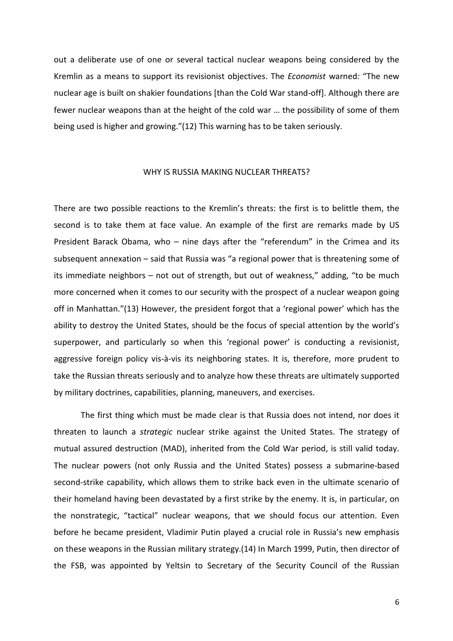out a deliberate use of one or several tactical nuclear weapons being considered by the Kremlin as a means to support its revisionist objectives. The Economist warned: "The new nuclear age is built on shakier foundations [than the Cold War stand-off]. Although there are fewer nuclear weapons than at the height of the cold war … the possibility of some of them being used is higher and growing."(12) This warning has to be taken seriously.

#### WHY IS RUSSIA MAKING NUCLEAR THREATS?

There are two possible reactions to the Kremlin's threats: the first is to belittle them, the second is to take them at face value. An example of the first are remarks made by US President Barack Obama, who – nine days after the "referendum" in the Crimea and its subsequent annexation – said that Russia was "a regional power that is threatening some of its immediate neighbors – not out of strength, but out of weakness," adding, "to be much more concerned when it comes to our security with the prospect of a nuclear weapon going off in Manhattan."(13) However, the president forgot that a 'regional power' which has the ability to destroy the United States, should be the focus of special attention by the world's superpower, and particularly so when this 'regional power' is conducting a revisionist, aggressive foreign policy vis-à-vis its neighboring states. It is, therefore, more prudent to take the Russian threats seriously and to analyze how these threats are ultimately supported by military doctrines, capabilities, planning, maneuvers, and exercises.

The first thing which must be made clear is that Russia does not intend, nor does it threaten to launch a strategic nuclear strike against the United States. The strategy of mutual assured destruction (MAD), inherited from the Cold War period, is still valid today. The nuclear powers (not only Russia and the United States) possess a submarine-based second-strike capability, which allows them to strike back even in the ultimate scenario of their homeland having been devastated by a first strike by the enemy. It is, in particular, on the nonstrategic, "tactical" nuclear weapons, that we should focus our attention. Even before he became president, Vladimir Putin played a crucial role in Russia's new emphasis on these weapons in the Russian military strategy.(14) In March 1999, Putin, then director of the FSB, was appointed by Yeltsin to Secretary of the Security Council of the Russian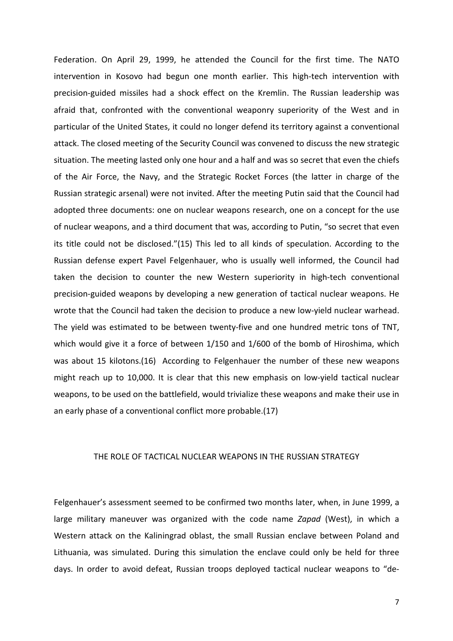Federation. On April 29, 1999, he attended the Council for the first time. The NATO intervention in Kosovo had begun one month earlier. This high-tech intervention with precision-guided missiles had a shock effect on the Kremlin. The Russian leadership was afraid that, confronted with the conventional weaponry superiority of the West and in particular of the United States, it could no longer defend its territory against a conventional attack. The closed meeting of the Security Council was convened to discuss the new strategic situation. The meeting lasted only one hour and a half and was so secret that even the chiefs of the Air Force, the Navy, and the Strategic Rocket Forces (the latter in charge of the Russian strategic arsenal) were not invited. After the meeting Putin said that the Council had adopted three documents: one on nuclear weapons research, one on a concept for the use of nuclear weapons, and a third document that was, according to Putin, "so secret that even its title could not be disclosed."(15) This led to all kinds of speculation. According to the Russian defense expert Pavel Felgenhauer, who is usually well informed, the Council had taken the decision to counter the new Western superiority in high-tech conventional precision-guided weapons by developing a new generation of tactical nuclear weapons. He wrote that the Council had taken the decision to produce a new low-yield nuclear warhead. The yield was estimated to be between twenty-five and one hundred metric tons of TNT, which would give it a force of between 1/150 and 1/600 of the bomb of Hiroshima, which was about 15 kilotons.(16) According to Felgenhauer the number of these new weapons might reach up to 10,000. It is clear that this new emphasis on low-yield tactical nuclear weapons, to be used on the battlefield, would trivialize these weapons and make their use in an early phase of a conventional conflict more probable.(17)

#### THE ROLE OF TACTICAL NUCLEAR WEAPONS IN THE RUSSIAN STRATEGY

Felgenhauer's assessment seemed to be confirmed two months later, when, in June 1999, a large military maneuver was organized with the code name Zapad (West), in which a Western attack on the Kaliningrad oblast, the small Russian enclave between Poland and Lithuania, was simulated. During this simulation the enclave could only be held for three days. In order to avoid defeat, Russian troops deployed tactical nuclear weapons to "de-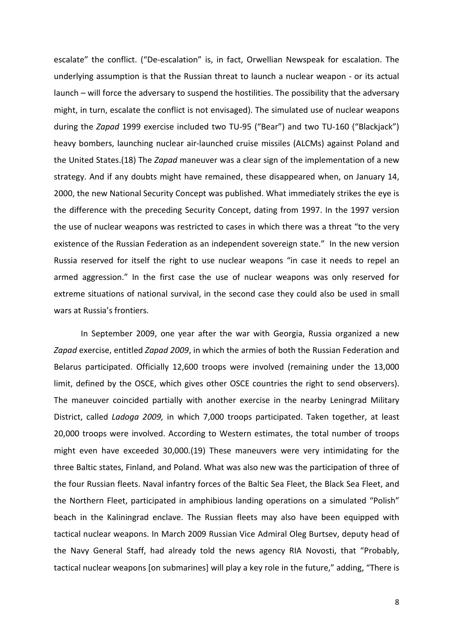escalate" the conflict. ("De-escalation" is, in fact, Orwellian Newspeak for escalation. The underlying assumption is that the Russian threat to launch a nuclear weapon - or its actual launch – will force the adversary to suspend the hostilities. The possibility that the adversary might, in turn, escalate the conflict is not envisaged). The simulated use of nuclear weapons during the Zapad 1999 exercise included two TU-95 ("Bear") and two TU-160 ("Blackjack") heavy bombers, launching nuclear air-launched cruise missiles (ALCMs) against Poland and the United States.(18) The Zapad maneuver was a clear sign of the implementation of a new strategy. And if any doubts might have remained, these disappeared when, on January 14, 2000, the new National Security Concept was published. What immediately strikes the eye is the difference with the preceding Security Concept, dating from 1997. In the 1997 version the use of nuclear weapons was restricted to cases in which there was a threat "to the very existence of the Russian Federation as an independent sovereign state." In the new version Russia reserved for itself the right to use nuclear weapons "in case it needs to repel an armed aggression." In the first case the use of nuclear weapons was only reserved for extreme situations of national survival, in the second case they could also be used in small wars at Russia's frontiers.

 In September 2009, one year after the war with Georgia, Russia organized a new Zapad exercise, entitled Zapad 2009, in which the armies of both the Russian Federation and Belarus participated. Officially 12,600 troops were involved (remaining under the 13,000 limit, defined by the OSCE, which gives other OSCE countries the right to send observers). The maneuver coincided partially with another exercise in the nearby Leningrad Military District, called Ladoga 2009, in which 7,000 troops participated. Taken together, at least 20,000 troops were involved. According to Western estimates, the total number of troops might even have exceeded 30,000.(19) These maneuvers were very intimidating for the three Baltic states, Finland, and Poland. What was also new was the participation of three of the four Russian fleets. Naval infantry forces of the Baltic Sea Fleet, the Black Sea Fleet, and the Northern Fleet, participated in amphibious landing operations on a simulated "Polish" beach in the Kaliningrad enclave. The Russian fleets may also have been equipped with tactical nuclear weapons. In March 2009 Russian Vice Admiral Oleg Burtsev, deputy head of the Navy General Staff, had already told the news agency RIA Novosti, that "Probably, tactical nuclear weapons [on submarines] will play a key role in the future," adding, "There is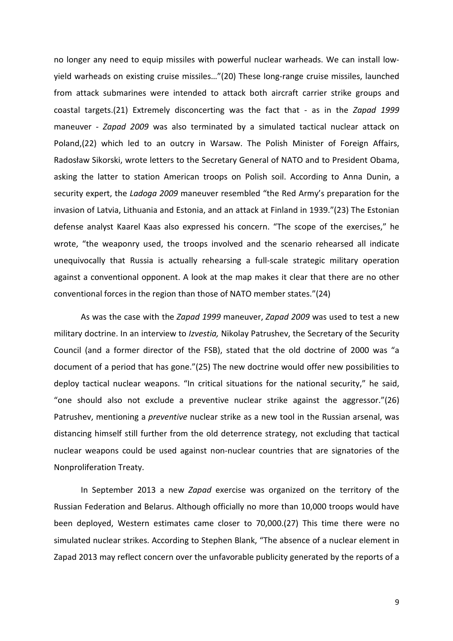no longer any need to equip missiles with powerful nuclear warheads. We can install lowyield warheads on existing cruise missiles…"(20) These long-range cruise missiles, launched from attack submarines were intended to attack both aircraft carrier strike groups and coastal targets.(21) Extremely disconcerting was the fact that - as in the Zapad 1999 maneuver - Zapad 2009 was also terminated by a simulated tactical nuclear attack on Poland,(22) which led to an outcry in Warsaw. The Polish Minister of Foreign Affairs, Radosław Sikorski, wrote letters to the Secretary General of NATO and to President Obama, asking the latter to station American troops on Polish soil. According to Anna Dunin, a security expert, the Ladoga 2009 maneuver resembled "the Red Army's preparation for the invasion of Latvia, Lithuania and Estonia, and an attack at Finland in 1939."(23) The Estonian defense analyst Kaarel Kaas also expressed his concern. "The scope of the exercises," he wrote, "the weaponry used, the troops involved and the scenario rehearsed all indicate unequivocally that Russia is actually rehearsing a full-scale strategic military operation against a conventional opponent. A look at the map makes it clear that there are no other conventional forces in the region than those of NATO member states."(24)

As was the case with the Zapad 1999 maneuver, Zapad 2009 was used to test a new military doctrine. In an interview to Izvestia, Nikolay Patrushev, the Secretary of the Security Council (and a former director of the FSB), stated that the old doctrine of 2000 was "a document of a period that has gone."(25) The new doctrine would offer new possibilities to deploy tactical nuclear weapons. "In critical situations for the national security," he said, "one should also not exclude a preventive nuclear strike against the aggressor."(26) Patrushev, mentioning a preventive nuclear strike as a new tool in the Russian arsenal, was distancing himself still further from the old deterrence strategy, not excluding that tactical nuclear weapons could be used against non-nuclear countries that are signatories of the Nonproliferation Treaty.

In September 2013 a new Zapad exercise was organized on the territory of the Russian Federation and Belarus. Although officially no more than 10,000 troops would have been deployed, Western estimates came closer to 70,000.(27) This time there were no simulated nuclear strikes. According to Stephen Blank, "The absence of a nuclear element in Zapad 2013 may reflect concern over the unfavorable publicity generated by the reports of a

9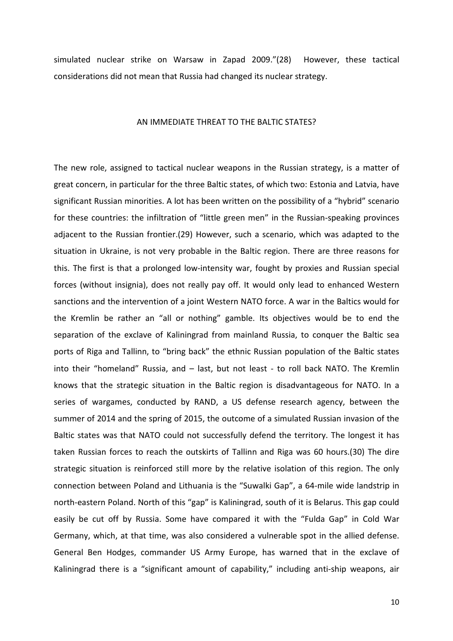simulated nuclear strike on Warsaw in Zapad 2009."(28) However, these tactical considerations did not mean that Russia had changed its nuclear strategy.

#### AN IMMEDIATE THREAT TO THE BALTIC STATES?

The new role, assigned to tactical nuclear weapons in the Russian strategy, is a matter of great concern, in particular for the three Baltic states, of which two: Estonia and Latvia, have significant Russian minorities. A lot has been written on the possibility of a "hybrid" scenario for these countries: the infiltration of "little green men" in the Russian-speaking provinces adjacent to the Russian frontier.(29) However, such a scenario, which was adapted to the situation in Ukraine, is not very probable in the Baltic region. There are three reasons for this. The first is that a prolonged low-intensity war, fought by proxies and Russian special forces (without insignia), does not really pay off. It would only lead to enhanced Western sanctions and the intervention of a joint Western NATO force. A war in the Baltics would for the Kremlin be rather an "all or nothing" gamble. Its objectives would be to end the separation of the exclave of Kaliningrad from mainland Russia, to conquer the Baltic sea ports of Riga and Tallinn, to "bring back" the ethnic Russian population of the Baltic states into their "homeland" Russia, and – last, but not least - to roll back NATO. The Kremlin knows that the strategic situation in the Baltic region is disadvantageous for NATO. In a series of wargames, conducted by RAND, a US defense research agency, between the summer of 2014 and the spring of 2015, the outcome of a simulated Russian invasion of the Baltic states was that NATO could not successfully defend the territory. The longest it has taken Russian forces to reach the outskirts of Tallinn and Riga was 60 hours.(30) The dire strategic situation is reinforced still more by the relative isolation of this region. The only connection between Poland and Lithuania is the "Suwalki Gap", a 64-mile wide landstrip in north-eastern Poland. North of this "gap" is Kaliningrad, south of it is Belarus. This gap could easily be cut off by Russia. Some have compared it with the "Fulda Gap" in Cold War Germany, which, at that time, was also considered a vulnerable spot in the allied defense. General Ben Hodges, commander US Army Europe, has warned that in the exclave of Kaliningrad there is a "significant amount of capability," including anti-ship weapons, air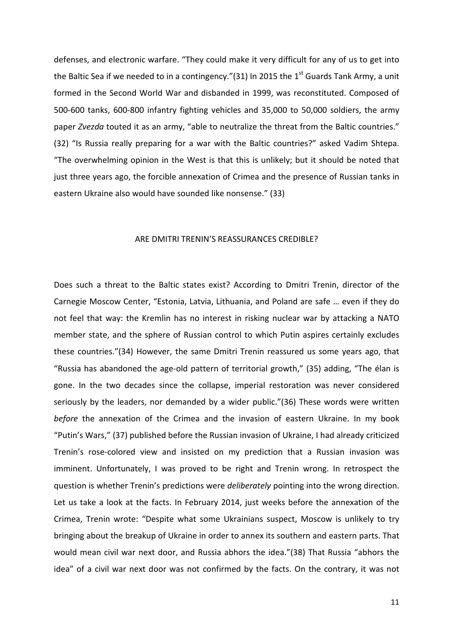defenses, and electronic warfare. "They could make it very difficult for any of us to get into the Baltic Sea if we needed to in a contingency."(31) In 2015 the  $1<sup>st</sup>$  Guards Tank Army, a unit formed in the Second World War and disbanded in 1999, was reconstituted. Composed of 500-600 tanks, 600-800 infantry fighting vehicles and 35,000 to 50,000 soldiers, the army paper Zvezda touted it as an army, "able to neutralize the threat from the Baltic countries." (32) "Is Russia really preparing for a war with the Baltic countries?" asked Vadim Shtepa. "The overwhelming opinion in the West is that this is unlikely; but it should be noted that just three years ago, the forcible annexation of Crimea and the presence of Russian tanks in eastern Ukraine also would have sounded like nonsense." (33)

#### ARE DMITRI TRENIN'S REASSURANCES CREDIBLE?

Does such a threat to the Baltic states exist? According to Dmitri Trenin, director of the Carnegie Moscow Center, "Estonia, Latvia, Lithuania, and Poland are safe … even if they do not feel that way: the Kremlin has no interest in risking nuclear war by attacking a NATO member state, and the sphere of Russian control to which Putin aspires certainly excludes these countries."(34) However, the same Dmitri Trenin reassured us some years ago, that "Russia has abandoned the age-old pattern of territorial growth," (35) adding, "The élan is gone. In the two decades since the collapse, imperial restoration was never considered seriously by the leaders, nor demanded by a wider public."(36) These words were written before the annexation of the Crimea and the invasion of eastern Ukraine. In my book "Putin's Wars," (37) published before the Russian invasion of Ukraine, I had already criticized Trenin's rose-colored view and insisted on my prediction that a Russian invasion was imminent. Unfortunately, I was proved to be right and Trenin wrong. In retrospect the question is whether Trenin's predictions were *deliberately* pointing into the wrong direction. Let us take a look at the facts. In February 2014, just weeks before the annexation of the Crimea, Trenin wrote: "Despite what some Ukrainians suspect, Moscow is unlikely to try bringing about the breakup of Ukraine in order to annex its southern and eastern parts. That would mean civil war next door, and Russia abhors the idea."(38) That Russia "abhors the idea" of a civil war next door was not confirmed by the facts. On the contrary, it was not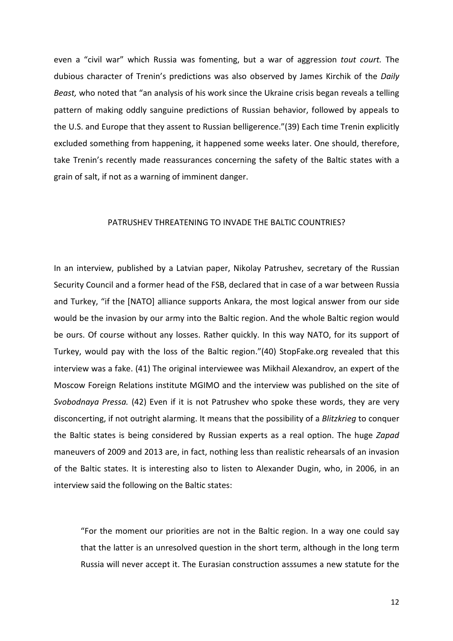even a "civil war" which Russia was fomenting, but a war of aggression tout court. The dubious character of Trenin's predictions was also observed by James Kirchik of the Daily Beast, who noted that "an analysis of his work since the Ukraine crisis began reveals a telling pattern of making oddly sanguine predictions of Russian behavior, followed by appeals to the U.S. and Europe that they assent to Russian belligerence."(39) Each time Trenin explicitly excluded something from happening, it happened some weeks later. One should, therefore, take Trenin's recently made reassurances concerning the safety of the Baltic states with a grain of salt, if not as a warning of imminent danger.

#### PATRUSHEV THREATENING TO INVADE THE BALTIC COUNTRIES?

In an interview, published by a Latvian paper, Nikolay Patrushev, secretary of the Russian Security Council and a former head of the FSB, declared that in case of a war between Russia and Turkey, "if the [NATO] alliance supports Ankara, the most logical answer from our side would be the invasion by our army into the Baltic region. And the whole Baltic region would be ours. Of course without any losses. Rather quickly. In this way NATO, for its support of Turkey, would pay with the loss of the Baltic region."(40) StopFake.org revealed that this interview was a fake. (41) The original interviewee was Mikhail Alexandrov, an expert of the Moscow Foreign Relations institute MGIMO and the interview was published on the site of Svobodnaya Pressa. (42) Even if it is not Patrushev who spoke these words, they are very disconcerting, if not outright alarming. It means that the possibility of a Blitzkrieg to conquer the Baltic states is being considered by Russian experts as a real option. The huge Zapad maneuvers of 2009 and 2013 are, in fact, nothing less than realistic rehearsals of an invasion of the Baltic states. It is interesting also to listen to Alexander Dugin, who, in 2006, in an interview said the following on the Baltic states:

"For the moment our priorities are not in the Baltic region. In a way one could say that the latter is an unresolved question in the short term, although in the long term Russia will never accept it. The Eurasian construction asssumes a new statute for the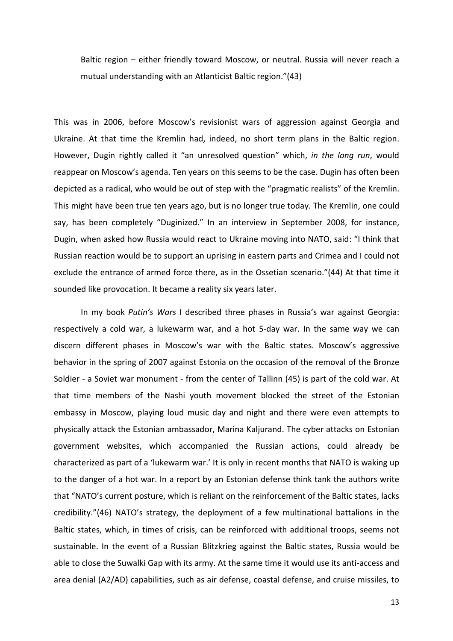Baltic region – either friendly toward Moscow, or neutral. Russia will never reach a mutual understanding with an Atlanticist Baltic region."(43)

This was in 2006, before Moscow's revisionist wars of aggression against Georgia and Ukraine. At that time the Kremlin had, indeed, no short term plans in the Baltic region. However, Dugin rightly called it "an unresolved question" which, in the long run, would reappear on Moscow's agenda. Ten years on this seems to be the case. Dugin has often been depicted as a radical, who would be out of step with the "pragmatic realists" of the Kremlin. This might have been true ten years ago, but is no longer true today. The Kremlin, one could say, has been completely "Duginized." In an interview in September 2008, for instance, Dugin, when asked how Russia would react to Ukraine moving into NATO, said: "I think that Russian reaction would be to support an uprising in eastern parts and Crimea and I could not exclude the entrance of armed force there, as in the Ossetian scenario."(44) At that time it sounded like provocation. It became a reality six years later.

In my book Putin's Wars I described three phases in Russia's war against Georgia: respectively a cold war, a lukewarm war, and a hot 5-day war. In the same way we can discern different phases in Moscow's war with the Baltic states. Moscow's aggressive behavior in the spring of 2007 against Estonia on the occasion of the removal of the Bronze Soldier - a Soviet war monument - from the center of Tallinn (45) is part of the cold war. At that time members of the Nashi youth movement blocked the street of the Estonian embassy in Moscow, playing loud music day and night and there were even attempts to physically attack the Estonian ambassador, Marina Kaljurand. The cyber attacks on Estonian government websites, which accompanied the Russian actions, could already be characterized as part of a 'lukewarm war.' It is only in recent months that NATO is waking up to the danger of a hot war. In a report by an Estonian defense think tank the authors write that "NATO's current posture, which is reliant on the reinforcement of the Baltic states, lacks credibility."(46) NATO's strategy, the deployment of a few multinational battalions in the Baltic states, which, in times of crisis, can be reinforced with additional troops, seems not sustainable. In the event of a Russian Blitzkrieg against the Baltic states, Russia would be able to close the Suwalki Gap with its army. At the same time it would use its anti-access and area denial (A2/AD) capabilities, such as air defense, coastal defense, and cruise missiles, to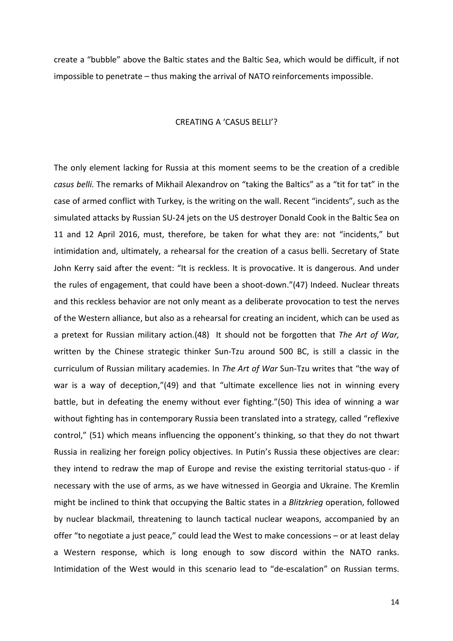create a "bubble" above the Baltic states and the Baltic Sea, which would be difficult, if not impossible to penetrate – thus making the arrival of NATO reinforcements impossible.

#### CREATING A 'CASUS BELLI'?

The only element lacking for Russia at this moment seems to be the creation of a credible casus belli. The remarks of Mikhail Alexandrov on "taking the Baltics" as a "tit for tat" in the case of armed conflict with Turkey, is the writing on the wall. Recent "incidents", such as the simulated attacks by Russian SU-24 jets on the US destroyer Donald Cook in the Baltic Sea on 11 and 12 April 2016, must, therefore, be taken for what they are: not "incidents," but intimidation and, ultimately, a rehearsal for the creation of a casus belli. Secretary of State John Kerry said after the event: "It is reckless. It is provocative. It is dangerous. And under the rules of engagement, that could have been a shoot-down."(47) Indeed. Nuclear threats and this reckless behavior are not only meant as a deliberate provocation to test the nerves of the Western alliance, but also as a rehearsal for creating an incident, which can be used as a pretext for Russian military action. (48) It should not be forgotten that The Art of War, written by the Chinese strategic thinker Sun-Tzu around 500 BC, is still a classic in the curriculum of Russian military academies. In The Art of War Sun-Tzu writes that "the way of war is a way of deception,"(49) and that "ultimate excellence lies not in winning every battle, but in defeating the enemy without ever fighting."(50) This idea of winning a war without fighting has in contemporary Russia been translated into a strategy, called "reflexive control," (51) which means influencing the opponent's thinking, so that they do not thwart Russia in realizing her foreign policy objectives. In Putin's Russia these objectives are clear: they intend to redraw the map of Europe and revise the existing territorial status-quo - if necessary with the use of arms, as we have witnessed in Georgia and Ukraine. The Kremlin might be inclined to think that occupying the Baltic states in a Blitzkrieg operation, followed by nuclear blackmail, threatening to launch tactical nuclear weapons, accompanied by an offer "to negotiate a just peace," could lead the West to make concessions – or at least delay a Western response, which is long enough to sow discord within the NATO ranks. Intimidation of the West would in this scenario lead to "de-escalation" on Russian terms.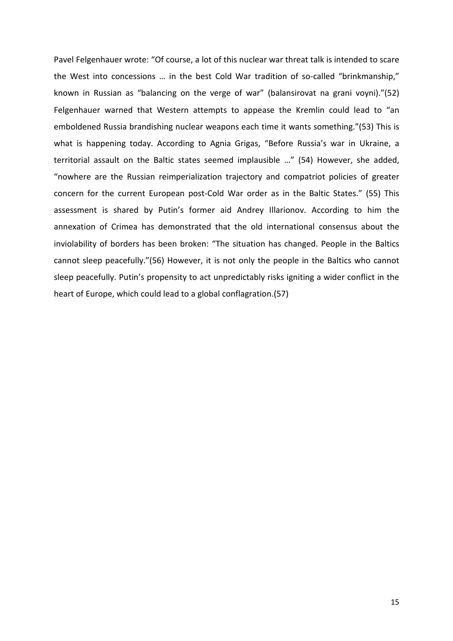Pavel Felgenhauer wrote: "Of course, a lot of this nuclear war threat talk is intended to scare the West into concessions … in the best Cold War tradition of so-called "brinkmanship," known in Russian as "balancing on the verge of war" (balansirovat na grani voyni)."(52) Felgenhauer warned that Western attempts to appease the Kremlin could lead to "an emboldened Russia brandishing nuclear weapons each time it wants something."(53) This is what is happening today. According to Agnia Grigas, "Before Russia's war in Ukraine, a territorial assault on the Baltic states seemed implausible …" (54) However, she added, "nowhere are the Russian reimperialization trajectory and compatriot policies of greater concern for the current European post-Cold War order as in the Baltic States." (55) This assessment is shared by Putin's former aid Andrey Illarionov. According to him the annexation of Crimea has demonstrated that the old international consensus about the inviolability of borders has been broken: "The situation has changed. People in the Baltics cannot sleep peacefully."(56) However, it is not only the people in the Baltics who cannot sleep peacefully. Putin's propensity to act unpredictably risks igniting a wider conflict in the heart of Europe, which could lead to a global conflagration.(57)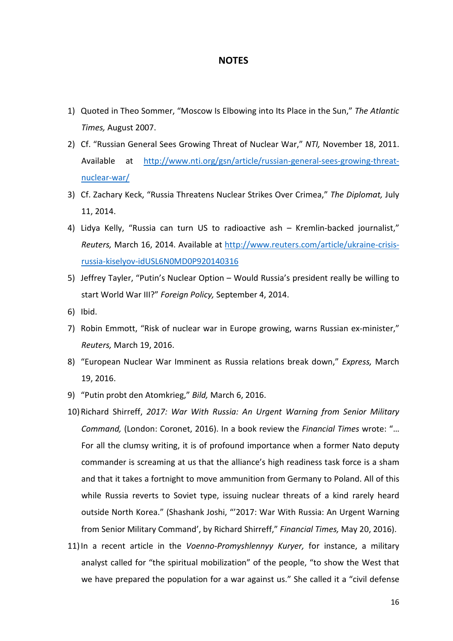#### NOTES

- 1) Quoted in Theo Sommer, "Moscow Is Elbowing into Its Place in the Sun," The Atlantic Times, August 2007.
- 2) Cf. "Russian General Sees Growing Threat of Nuclear War," NTI, November 18, 2011. Available at http://www.nti.org/gsn/article/russian-general-sees-growing-threatnuclear-war/
- 3) Cf. Zachary Keck, "Russia Threatens Nuclear Strikes Over Crimea," The Diplomat, July 11, 2014.
- 4) Lidya Kelly, "Russia can turn US to radioactive ash Kremlin-backed journalist," Reuters, March 16, 2014. Available at http://www.reuters.com/article/ukraine-crisisrussia-kiselyov-idUSL6N0MD0P920140316
- 5) Jeffrey Tayler, "Putin's Nuclear Option Would Russia's president really be willing to start World War III?" Foreign Policy, September 4, 2014.
- 6) Ibid.
- 7) Robin Emmott, "Risk of nuclear war in Europe growing, warns Russian ex-minister," Reuters, March 19, 2016.
- 8) "European Nuclear War Imminent as Russia relations break down," Express, March 19, 2016.
- 9) "Putin probt den Atomkrieg," Bild, March 6, 2016.
- 10)Richard Shirreff, 2017: War With Russia: An Urgent Warning from Senior Military Command, (London: Coronet, 2016). In a book review the Financial Times wrote: "… For all the clumsy writing, it is of profound importance when a former Nato deputy commander is screaming at us that the alliance's high readiness task force is a sham and that it takes a fortnight to move ammunition from Germany to Poland. All of this while Russia reverts to Soviet type, issuing nuclear threats of a kind rarely heard outside North Korea." (Shashank Joshi, "'2017: War With Russia: An Urgent Warning from Senior Military Command', by Richard Shirreff," Financial Times, May 20, 2016).
- 11) In a recent article in the Voenno-Promyshlennyy Kuryer, for instance, a military analyst called for "the spiritual mobilization" of the people, "to show the West that we have prepared the population for a war against us." She called it a "civil defense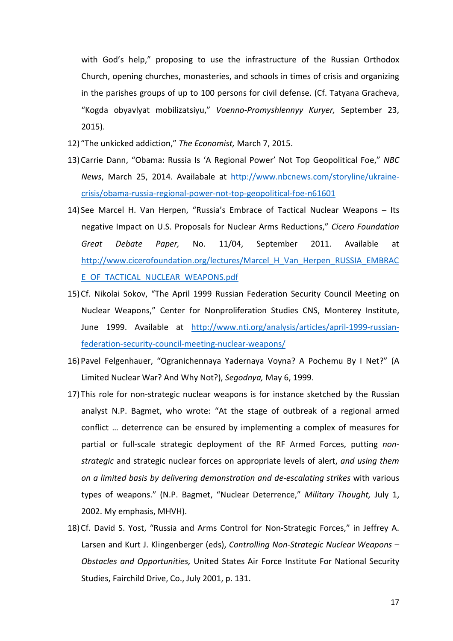with God's help," proposing to use the infrastructure of the Russian Orthodox Church, opening churches, monasteries, and schools in times of crisis and organizing in the parishes groups of up to 100 persons for civil defense. (Cf. Tatyana Gracheva, "Kogda obyavlyat mobilizatsiyu," Voenno-Promyshlennyy Kuryer, September 23, 2015).

- 12) "The unkicked addiction," The Economist, March 7, 2015.
- 13)Carrie Dann, "Obama: Russia Is 'A Regional Power' Not Top Geopolitical Foe," NBC News, March 25, 2014. Availabale at http://www.nbcnews.com/storyline/ukrainecrisis/obama-russia-regional-power-not-top-geopolitical-foe-n61601
- 14) See Marcel H. Van Herpen, "Russia's Embrace of Tactical Nuclear Weapons Its negative Impact on U.S. Proposals for Nuclear Arms Reductions," Cicero Foundation Great Debate Paper, No. 11/04, September 2011. Available at http://www.cicerofoundation.org/lectures/Marcel\_H\_Van\_Herpen\_RUSSIA\_EMBRAC E\_OF\_TACTICAL\_NUCLEAR\_WEAPONS.pdf
- 15)Cf. Nikolai Sokov, "The April 1999 Russian Federation Security Council Meeting on Nuclear Weapons," Center for Nonproliferation Studies CNS, Monterey Institute, June 1999. Available at http://www.nti.org/analysis/articles/april-1999-russianfederation-security-council-meeting-nuclear-weapons/
- 16)Pavel Felgenhauer, "Ogranichennaya Yadernaya Voyna? A Pochemu By I Net?" (A Limited Nuclear War? And Why Not?), Segodnya, May 6, 1999.
- 17) This role for non-strategic nuclear weapons is for instance sketched by the Russian analyst N.P. Bagmet, who wrote: "At the stage of outbreak of a regional armed conflict … deterrence can be ensured by implementing a complex of measures for partial or full-scale strategic deployment of the RF Armed Forces, putting nonstrategic and strategic nuclear forces on appropriate levels of alert, and using them on a limited basis by delivering demonstration and de-escalating strikes with various types of weapons." (N.P. Bagmet, "Nuclear Deterrence," Military Thought, July 1, 2002. My emphasis, MHVH).
- 18)Cf. David S. Yost, "Russia and Arms Control for Non-Strategic Forces," in Jeffrey A. Larsen and Kurt J. Klingenberger (eds), Controlling Non-Strategic Nuclear Weapons -Obstacles and Opportunities, United States Air Force Institute For National Security Studies, Fairchild Drive, Co., July 2001, p. 131.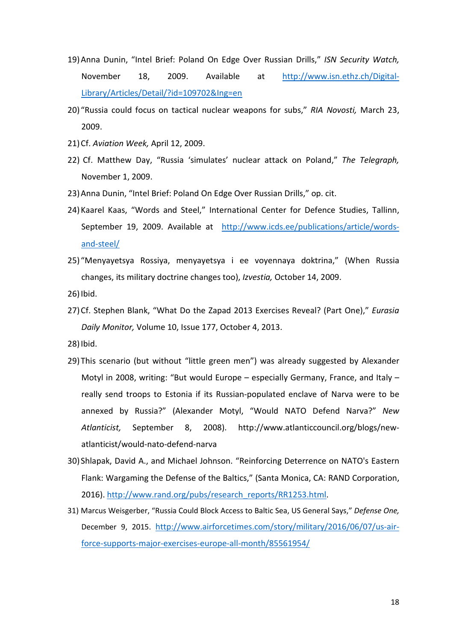- 19) Anna Dunin, "Intel Brief: Poland On Edge Over Russian Drills," ISN Security Watch, November 18, 2009. Available at http://www.isn.ethz.ch/Digital-Library/Articles/Detail/?id=109702&Ing=en
- 20) "Russia could focus on tactical nuclear weapons for subs," RIA Novosti, March 23, 2009.
- 21)Cf. Aviation Week, April 12, 2009.
- 22) Cf. Matthew Day, "Russia 'simulates' nuclear attack on Poland," The Telegraph, November 1, 2009.
- 23)Anna Dunin, "Intel Brief: Poland On Edge Over Russian Drills," op. cit.
- 24)Kaarel Kaas, "Words and Steel," International Center for Defence Studies, Tallinn, September 19, 2009. Available at http://www.icds.ee/publications/article/wordsand-steel/
- 25) "Menyayetsya Rossiya, menyayetsya i ee voyennaya doktrina," (When Russia changes, its military doctrine changes too), Izvestia, October 14, 2009.

26) Ibid.

27) Cf. Stephen Blank, "What Do the Zapad 2013 Exercises Reveal? (Part One)," Eurasia Daily Monitor, Volume 10, Issue 177, October 4, 2013.

28)Ibid.

- 29) This scenario (but without "little green men") was already suggested by Alexander Motyl in 2008, writing: "But would Europe – especially Germany, France, and Italy – really send troops to Estonia if its Russian-populated enclave of Narva were to be annexed by Russia?" (Alexander Motyl, "Would NATO Defend Narva?" New Atlanticist, September 8, 2008). http://www.atlanticcouncil.org/blogs/newatlanticist/would-nato-defend-narva
- 30) Shlapak, David A., and Michael Johnson. "Reinforcing Deterrence on NATO's Eastern Flank: Wargaming the Defense of the Baltics," (Santa Monica, CA: RAND Corporation, 2016). http://www.rand.org/pubs/research\_reports/RR1253.html.
- 31) Marcus Weisgerber, "Russia Could Block Access to Baltic Sea, US General Says," Defense One, December 9, 2015. http://www.airforcetimes.com/story/military/2016/06/07/us-airforce-supports-major-exercises-europe-all-month/85561954/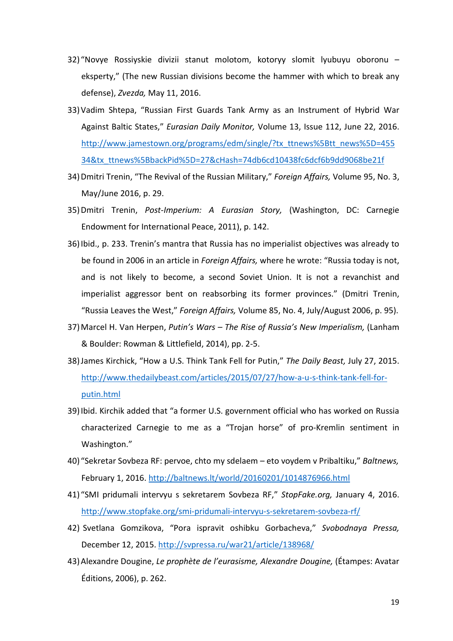- 32) "Novye Rossiyskie divizii stanut molotom, kotoryy slomit lyubuyu oboronu eksperty," (The new Russian divisions become the hammer with which to break any defense), Zvezda, May 11, 2016.
- 33)Vadim Shtepa, "Russian First Guards Tank Army as an Instrument of Hybrid War Against Baltic States," Eurasian Daily Monitor, Volume 13, Issue 112, June 22, 2016. http://www.jamestown.org/programs/edm/single/?tx\_ttnews%5Btt\_news%5D=455 34&tx\_ttnews%5BbackPid%5D=27&cHash=74db6cd10438fc6dcf6b9dd9068be21f
- 34) Dmitri Trenin, "The Revival of the Russian Military," Foreign Affairs, Volume 95, No. 3, May/June 2016, p. 29.
- 35)Dmitri Trenin, Post-Imperium: A Eurasian Story, (Washington, DC: Carnegie Endowment for International Peace, 2011), p. 142.
- 36)Ibid., p. 233. Trenin's mantra that Russia has no imperialist objectives was already to be found in 2006 in an article in Foreign Affairs, where he wrote: "Russia today is not, and is not likely to become, a second Soviet Union. It is not a revanchist and imperialist aggressor bent on reabsorbing its former provinces." (Dmitri Trenin, "Russia Leaves the West," Foreign Affairs, Volume 85, No. 4, July/August 2006, p. 95).
- 37) Marcel H. Van Herpen, Putin's Wars The Rise of Russia's New Imperialism, (Lanham & Boulder: Rowman & Littlefield, 2014), pp. 2-5.
- 38) James Kirchick, "How a U.S. Think Tank Fell for Putin," The Daily Beast, July 27, 2015. http://www.thedailybeast.com/articles/2015/07/27/how-a-u-s-think-tank-fell-forputin.html
- 39)Ibid. Kirchik added that "a former U.S. government official who has worked on Russia characterized Carnegie to me as a "Trojan horse" of pro-Kremlin sentiment in Washington."
- 40) "Sekretar Sovbeza RF: pervoe, chto my sdelaem eto voydem v Pribaltiku," Baltnews, February 1, 2016. http://baltnews.lt/world/20160201/1014876966.html
- 41) "SMI pridumali intervyu s sekretarem Sovbeza RF," StopFake.org, January 4, 2016. http://www.stopfake.org/smi-pridumali-intervyu-s-sekretarem-sovbeza-rf/
- 42) Svetlana Gomzikova, "Pora ispravit oshibku Gorbacheva," Svobodnaya Pressa, December 12, 2015. http://svpressa.ru/war21/article/138968/
- 43)Alexandre Dougine, Le prophète de l'eurasisme, Alexandre Dougine, (Étampes: Avatar Éditions, 2006), p. 262.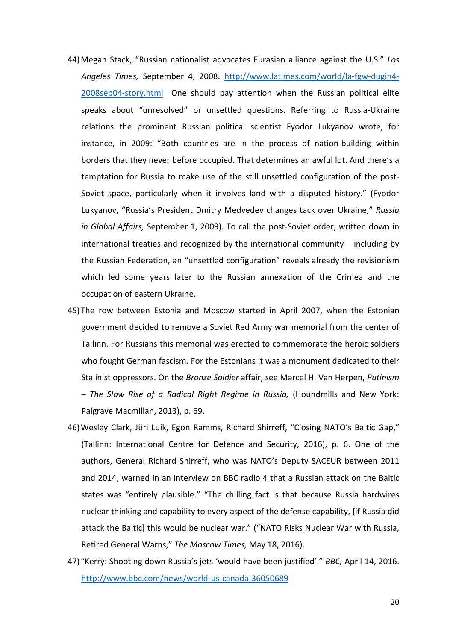- 44) Megan Stack, "Russian nationalist advocates Eurasian alliance against the U.S." Los Angeles Times, September 4, 2008. http://www.latimes.com/world/la-fgw-dugin4- 2008sep04-story.html One should pay attention when the Russian political elite speaks about "unresolved" or unsettled questions. Referring to Russia-Ukraine relations the prominent Russian political scientist Fyodor Lukyanov wrote, for instance, in 2009: "Both countries are in the process of nation-building within borders that they never before occupied. That determines an awful lot. And there's a temptation for Russia to make use of the still unsettled configuration of the post-Soviet space, particularly when it involves land with a disputed history." (Fyodor Lukyanov, "Russia's President Dmitry Medvedev changes tack over Ukraine," Russia in Global Affairs, September 1, 2009). To call the post-Soviet order, written down in international treaties and recognized by the international community – including by the Russian Federation, an "unsettled configuration" reveals already the revisionism which led some years later to the Russian annexation of the Crimea and the occupation of eastern Ukraine.
- 45) The row between Estonia and Moscow started in April 2007, when the Estonian government decided to remove a Soviet Red Army war memorial from the center of Tallinn. For Russians this memorial was erected to commemorate the heroic soldiers who fought German fascism. For the Estonians it was a monument dedicated to their Stalinist oppressors. On the Bronze Soldier affair, see Marcel H. Van Herpen, Putinism – The Slow Rise of a Radical Right Regime in Russia, (Houndmills and New York: Palgrave Macmillan, 2013), p. 69.
- 46)Wesley Clark, Jüri Luik, Egon Ramms, Richard Shirreff, "Closing NATO's Baltic Gap," (Tallinn: International Centre for Defence and Security, 2016), p. 6. One of the authors, General Richard Shirreff, who was NATO's Deputy SACEUR between 2011 and 2014, warned in an interview on BBC radio 4 that a Russian attack on the Baltic states was "entirely plausible." "The chilling fact is that because Russia hardwires nuclear thinking and capability to every aspect of the defense capability, [if Russia did attack the Baltic] this would be nuclear war." ("NATO Risks Nuclear War with Russia, Retired General Warns," The Moscow Times, May 18, 2016).
- 47) "Kerry: Shooting down Russia's jets 'would have been justified'." BBC, April 14, 2016. http://www.bbc.com/news/world-us-canada-36050689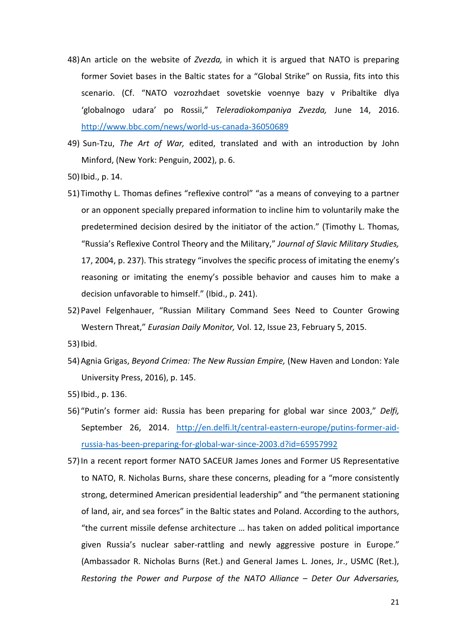- 48) An article on the website of Zvezda, in which it is argued that NATO is preparing former Soviet bases in the Baltic states for a "Global Strike" on Russia, fits into this scenario. (Cf. "NATO vozrozhdaet sovetskie voennye bazy v Pribaltike dlya 'globalnogo udara' po Rossii," Teleradiokompaniya Zvezda, June 14, 2016. http://www.bbc.com/news/world-us-canada-36050689
- 49) Sun-Tzu, The Art of War, edited, translated and with an introduction by John Minford, (New York: Penguin, 2002), p. 6.
- 50)Ibid., p. 14.
- 51) Timothy L. Thomas defines "reflexive control" "as a means of conveying to a partner or an opponent specially prepared information to incline him to voluntarily make the predetermined decision desired by the initiator of the action." (Timothy L. Thomas, "Russia's Reflexive Control Theory and the Military," Journal of Slavic Military Studies, 17, 2004, p. 237). This strategy "involves the specific process of imitating the enemy's reasoning or imitating the enemy's possible behavior and causes him to make a decision unfavorable to himself." (Ibid., p. 241).
- 52)Pavel Felgenhauer, "Russian Military Command Sees Need to Counter Growing Western Threat," Eurasian Daily Monitor, Vol. 12, Issue 23, February 5, 2015.
- 53)Ibid.
- 54) Agnia Grigas, Beyond Crimea: The New Russian Empire, (New Haven and London: Yale University Press, 2016), p. 145.
- 55)Ibid., p. 136.
- 56) "Putin's former aid: Russia has been preparing for global war since 2003," Delfi, September 26, 2014. http://en.delfi.lt/central-eastern-europe/putins-former-aidrussia-has-been-preparing-for-global-war-since-2003.d?id=65957992
- 57)In a recent report former NATO SACEUR James Jones and Former US Representative to NATO, R. Nicholas Burns, share these concerns, pleading for a "more consistently strong, determined American presidential leadership" and "the permanent stationing of land, air, and sea forces" in the Baltic states and Poland. According to the authors, "the current missile defense architecture … has taken on added political importance given Russia's nuclear saber-rattling and newly aggressive posture in Europe." (Ambassador R. Nicholas Burns (Ret.) and General James L. Jones, Jr., USMC (Ret.), Restoring the Power and Purpose of the NATO Alliance – Deter Our Adversaries,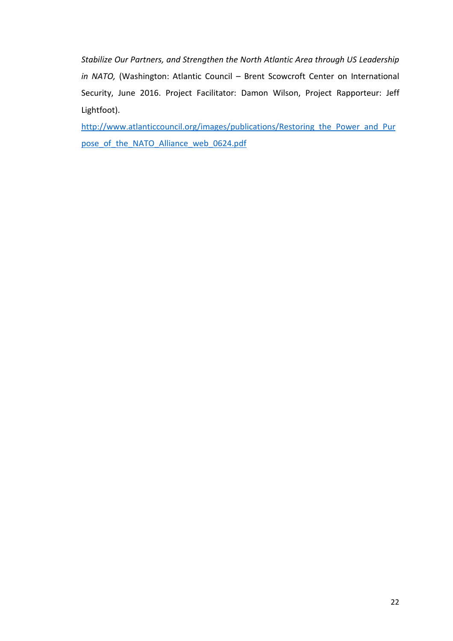Stabilize Our Partners, and Strengthen the North Atlantic Area through US Leadership in NATO, (Washington: Atlantic Council – Brent Scowcroft Center on International Security, June 2016. Project Facilitator: Damon Wilson, Project Rapporteur: Jeff Lightfoot).

http://www.atlanticcouncil.org/images/publications/Restoring the Power and Pur pose of the NATO Alliance web 0624.pdf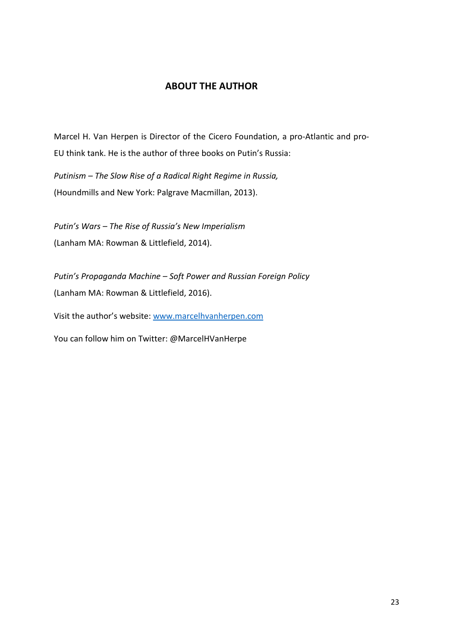### ABOUT THE AUTHOR

Marcel H. Van Herpen is Director of the Cicero Foundation, a pro-Atlantic and pro-EU think tank. He is the author of three books on Putin's Russia:

Putinism – The Slow Rise of a Radical Right Regime in Russia, (Houndmills and New York: Palgrave Macmillan, 2013).

Putin's Wars – The Rise of Russia's New Imperialism (Lanham MA: Rowman & Littlefield, 2014).

Putin's Propaganda Machine – Soft Power and Russian Foreign Policy (Lanham MA: Rowman & Littlefield, 2016).

Visit the author's website: www.marcelhvanherpen.com

You can follow him on Twitter: @MarcelHVanHerpe